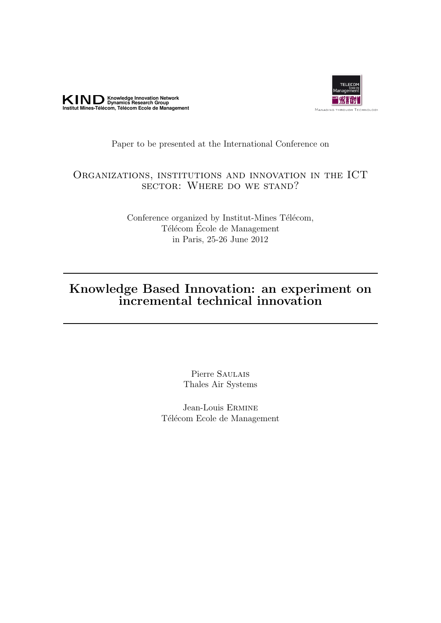



# Paper to be presented at the International Conference on

# Organizations, institutions and innovation in the ICT sector: Where do we stand?

Conference organized by Institut-Mines Télécom, Télécom École de Management in Paris, 25-26 June 2012

# Knowledge Based Innovation: an experiment on incremental technical innovation

Pierre Saulais Thales Air Systems

Jean-Louis Ermine Télécom Ecole de Management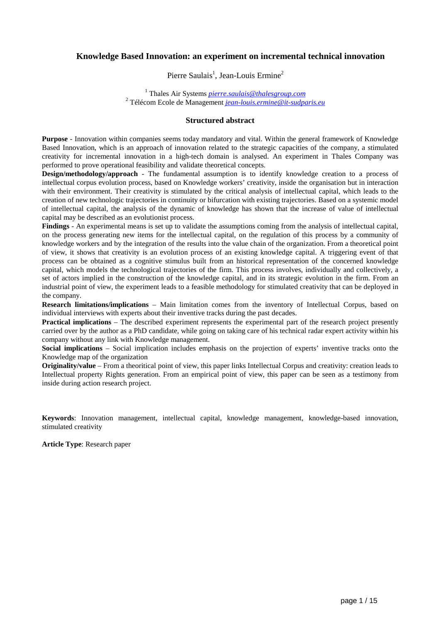# **Knowledge Based Innovation: an experiment on incremental technical innovation**

Pierre Saulais<sup>1</sup>, Jean-Louis Ermine<sup>2</sup>

1 Thales Air Systems *pierre.saulais@thalesgroup.com* 2 Télécom Ecole de Management *jean-louis.ermine@it-sudparis.eu*

# **Structured abstract**

**Purpose** - Innovation within companies seems today mandatory and vital. Within the general framework of Knowledge Based Innovation, which is an approach of innovation related to the strategic capacities of the company, a stimulated creativity for incremental innovation in a high-tech domain is analysed. An experiment in Thales Company was performed to prove operational feasibility and validate theoretical concepts.

**Design/methodology/approach** - The fundamental assumption is to identify knowledge creation to a process of intellectual corpus evolution process, based on Knowledge workers' creativity, inside the organisation but in interaction with their environment. Their creativity is stimulated by the critical analysis of intellectual capital, which leads to the creation of new technologic trajectories in continuity or bifurcation with existing trajectories. Based on a systemic model of intellectual capital, the analysis of the dynamic of knowledge has shown that the increase of value of intellectual capital may be described as an evolutionist process.

**Findings** - An experimental means is set up to validate the assumptions coming from the analysis of intellectual capital, on the process generating new items for the intellectual capital, on the regulation of this process by a community of knowledge workers and by the integration of the results into the value chain of the organization. From a theoretical point of view, it shows that creativity is an evolution process of an existing knowledge capital. A triggering event of that process can be obtained as a cognitive stimulus built from an historical representation of the concerned knowledge capital, which models the technological trajectories of the firm. This process involves, individually and collectively, a set of actors implied in the construction of the knowledge capital, and in its strategic evolution in the firm. From an industrial point of view, the experiment leads to a feasible methodology for stimulated creativity that can be deployed in the company.

**Research limitations/implications** – Main limitation comes from the inventory of Intellectual Corpus, based on individual interviews with experts about their inventive tracks during the past decades.

**Practical implications** – The described experiment represents the experimental part of the research project presently carried over by the author as a PhD candidate, while going on taking care of his technical radar expert activity within his company without any link with Knowledge management.

**Social implications** – Social implication includes emphasis on the projection of experts' inventive tracks onto the Knowledge map of the organization

**Originality/value** – From a theoritical point of view, this paper links Intellectual Corpus and creativity: creation leads to Intellectual property Rights generation. From an empirical point of view, this paper can be seen as a testimony from inside during action research project.

**Keywords**: Innovation management, intellectual capital, knowledge management, knowledge-based innovation, stimulated creativity

**Article Type**: Research paper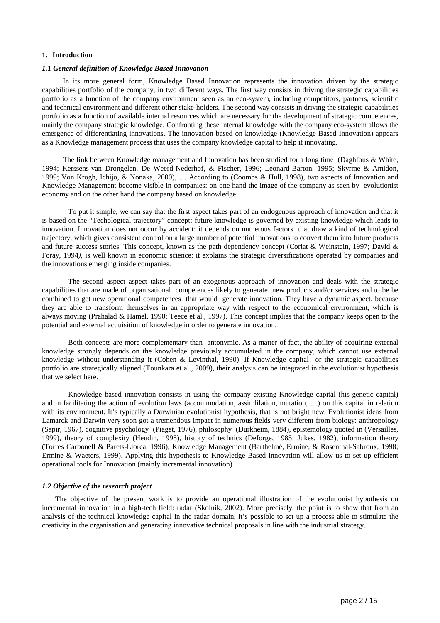#### **1. Introduction**

#### *1.1 General definition of Knowledge Based Innovation*

In its more general form, Knowledge Based Innovation represents the innovation driven by the strategic capabilities portfolio of the company, in two different ways. The first way consists in driving the strategic capabilities portfolio as a function of the company environment seen as an eco-system, including competitors, partners, scientific and technical environment and different other stake-holders. The second way consists in driving the strategic capabilities portfolio as a function of available internal resources which are necessary for the development of strategic competences, mainly the company strategic knowledge. Confronting these internal knowledge with the company eco-system allows the emergence of differentiating innovations. The innovation based on knowledge (Knowledge Based Innovation) appears as a Knowledge management process that uses the company knowledge capital to help it innovating.

The link between Knowledge management and Innovation has been studied for a long time (Daghfous & White, 1994; Kerssens-van Drongelen, De Weerd-Nederhof, & Fischer, 1996; Leonard-Barton, 1995; Skyrme & Amidon, 1999; Von Krogh, Ichijo, & Nonaka, 2000), … According to (Coombs & Hull, 1998), two aspects of Innovation and Knowledge Management become visible in companies: on one hand the image of the company as seen by evolutionist economy and on the other hand the company based on knowledge.

To put it simple, we can say that the first aspect takes part of an endogenous approach of innovation and that it is based on the "Techological trajectory" concept: future knowledge is governed by existing knowledge which leads to innovation. Innovation does not occur by accident: it depends on numerous factors that draw a kind of technological trajectory, which gives consistent control on a large number of potential innovations to convert them into future products and future success stories. This concept, known as the path dependency concept (Coriat & Weinstein, 1997; David & Foray, 1994*),* is well known in economic science: it explains the strategic diversifications operated by companies and the innovations emerging inside companies.

The second aspect aspect takes part of an exogenous approach of innovation and deals with the strategic capabilities that are made of organisational competences likely to generate new products and/or services and to be be combined to get new operational competences that would generate innovation. They have a dynamic aspect, because they are able to transform themselves in an appropriate way with respect to the economical environment, which is always moving (Prahalad & Hamel, 1990; Teece et al., 1997). This concept implies that the company keeps open to the potential and external acquisition of knowledge in order to generate innovation.

Both concepts are more complementary than antonymic. As a matter of fact, the ability of acquiring external knowledge strongly depends on the knowledge previously accumulated in the company, which cannot use external knowledge without understanding it (Cohen & Levinthal, 1990). If Knowledge capital or the strategic capabilities portfolio are strategically aligned (Tounkara et al., 2009), their analysis can be integrated in the evolutionist hypothesis that we select here.

Knowledge based innovation consists in using the company existing Knowledge capital (his genetic capital) and in facilitating the action of evolution laws (accommodation, assimlilation, mutation, …) on this capital in relation with its environment. It's typically a Darwinian evolutionist hypothesis, that is not bright new. Evolutionist ideas from Lamarck and Darwin very soon got a tremendous impact in numerous fields very different from biology: anthropology (Sapir, 1967), cognitive psychology (Piaget, 1976), philosophy (Durkheim, 1884), epistemology quoted in (Versailles, 1999), theory of complexity (Heudin, 1998), history of technics (Deforge, 1985; Jukes, 1982), information theory (Torres Carbonell & Parets-Llorca, 1996), Knowledge Management (Barthelmé, Ermine, & Rosenthal-Sabroux, 1998; Ermine & Waeters, 1999). Applying this hypothesis to Knowledge Based innovation will allow us to set up efficient operational tools for Innovation (mainly incremental innovation)

#### *1.2 Objective of the research project*

The objective of the present work is to provide an operational illustration of the evolutionist hypothesis on incremental innovation in a high-tech field: radar (Skolnik, 2002). More precisely, the point is to show that from an analysis of the technical knowledge capital in the radar domain, it's possible to set up a process able to stimulate the creativity in the organisation and generating innovative technical proposals in line with the industrial strategy.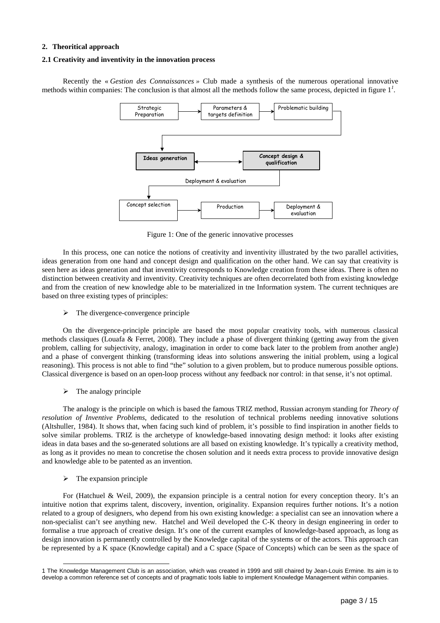# **2. Theoritical approach**

## **2.1 Creativity and inventivity in the innovation process**

Recently the « *Gestion des Connaissances »* Club made a synthesis of the numerous operational innovative methods within companies: The conclusion is that almost all the methods follow the same process, depicted in figure 1*<sup>1</sup> .*



Figure 1: One of the generic innovative processes

In this process, one can notice the notions of creativity and inventivity illustrated by the two parallel activities, ideas generation from one hand and concept design and qualification on the other hand. We can say that creativity is seen here as ideas generation and that inventivity corresponds to Knowledge creation from these ideas. There is often no distinction between creativity and inventivity. Creativity techniques are often decorrelated both from existing knowledge and from the creation of new knowledge able to be materialized in tne Information system. The current techniques are based on three existing types of principles:

 $\triangleright$  The divergence-convergence principle

On the divergence-principle principle are based the most popular creativity tools, with numerous classical methods classiques (Louafa & Ferret, 2008). They include a phase of divergent thinking (getting away from the given problem, calling for subjectivity, analogy, imagination in order to come back later to the problem from another angle) and a phase of convergent thinking (transforming ideas into solutions answering the initial problem, using a logical reasoning). This process is not able to find "the" solution to a given problem, but to produce numerous possible options. Classical divergence is based on an open-loop process without any feedback nor control: in that sense, it's not optimal.

 $\triangleright$  The analogy principle

The analogy is the principle on which is based the famous TRIZ method, Russian acronym standing for *Theory of resolution of Inventive Problems*, dedicated to the resolution of technical problems needing innovative solutions (Altshuller, 1984). It shows that, when facing such kind of problem, it's possible to find inspiration in another fields to solve similar problems. TRIZ is the archetype of knowledge-based innovating design method: it looks after existing ideas in data bases and the so-generated solutions are all based on existing knowledge. It's typically a creativity method, as long as it provides no mean to concretise the chosen solution and it needs extra process to provide innovative design and knowledge able to be patented as an invention.

 $\triangleright$  The expansion principle

l

For (Hatchuel & Weil, 2009), the expansion principle is a central notion for every conception theory. It's an intuitive notion that exprims talent, discovery, invention, originality. Expansion requires further notions. It's a notion related to a group of designers, who depend from his own existing knowledge: a specialist can see an innovation where a non-specialist can't see anything new. Hatchel and Weil developed the C-K theory in design engineering in order to formalise a true approach of creative design. It's one of the current examples of knowledge-based approach, as long as design innovation is permanently controlled by the Knowledge capital of the systems or of the actors. This approach can be represented by a K space (Knowledge capital) and a C space (Space of Concepts) which can be seen as the space of

<sup>1</sup> The Knowledge Management Club is an association, which was created in 1999 and still chaired by Jean-Louis Ermine. Its aim is to develop a common reference set of concepts and of pragmatic tools liable to implement Knowledge Management within companies.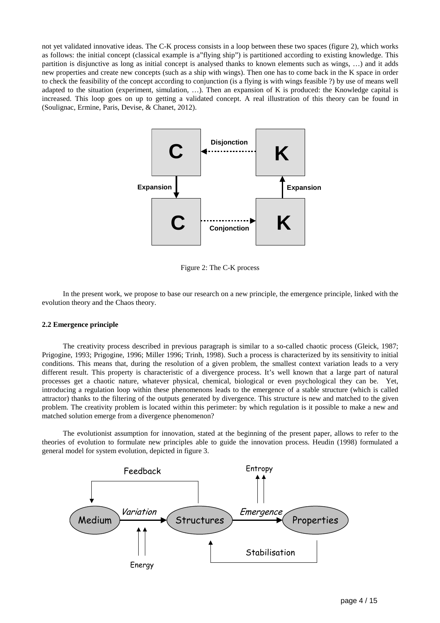not yet validated innovative ideas. The C-K process consists in a loop between these two spaces (figure 2), which works as follows: the initial concept (classical example is a"flying ship") is partitioned according to existing knowledge. This partition is disjunctive as long as initial concept is analysed thanks to known elements such as wings, …) and it adds new properties and create new concepts (such as a ship with wings). Then one has to come back in the K space in order to check the feasibility of the concept according to conjunction (is a flying is with wings feasible ?) by use of means well adapted to the situation (experiment, simulation, …). Then an expansion of K is produced: the Knowledge capital is increased. This loop goes on up to getting a validated concept. A real illustration of this theory can be found in (Soulignac, Ermine, Paris, Devise, & Chanet, 2012).



Figure 2: The C-K process

In the present work, we propose to base our research on a new principle, the emergence principle, linked with the evolution theory and the Chaos theory.

# **2.2 Emergence principle**

The creativity process described in previous paragraph is similar to a so-called chaotic process (Gleick, 1987; Prigogine, 1993; Prigogine, 1996; Miller 1996; Trinh, 1998). Such a process is characterized by its sensitivity to initial conditions. This means that, during the resolution of a given problem, the smallest context variation leads to a very different result. This property is characteristic of a divergence process. It's well known that a large part of natural processes get a chaotic nature, whatever physical, chemical, biological or even psychological they can be. Yet, introducing a regulation loop within these phenomenons leads to the emergence of a stable structure (which is called attractor) thanks to the filtering of the outputs generated by divergence. This structure is new and matched to the given problem. The creativity problem is located within this perimeter: by which regulation is it possible to make a new and matched solution emerge from a divergence phenomenon?

The evolutionist assumption for innovation, stated at the beginning of the present paper, allows to refer to the theories of evolution to formulate new principles able to guide the innovation process. Heudin (1998) formulated a general model for system evolution, depicted in figure 3.

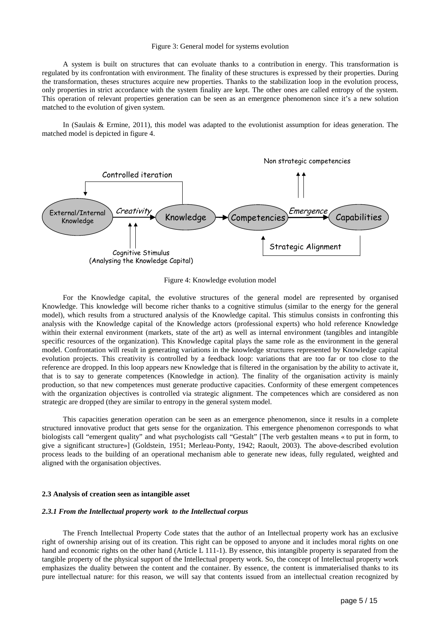#### Figure 3: General model for systems evolution

A system is built on structures that can evoluate thanks to a contribution in energy. This transformation is regulated by its confrontation with environment. The finality of these structures is expressed by their properties. During the transformation, theses structures acquire new properties. Thanks to the stabilization loop in the evolution process, only properties in strict accordance with the system finality are kept. The other ones are called entropy of the system. This operation of relevant properties generation can be seen as an emergence phenomenon since it's a new solution matched to the evolution of given system.

In (Saulais & Ermine, 2011), this model was adapted to the evolutionist assumption for ideas generation. The matched model is depicted in figure 4.



Figure 4: Knowledge evolution model

For the Knowledge capital, the evolutive structures of the general model are represented by organised Knowledge. This knowledge will become richer thanks to a cognitive stimulus (similar to the energy for the general model), which results from a structured analysis of the Knowledge capital. This stimulus consists in confronting this analysis with the Knowledge capital of the Knowledge actors (professional experts) who hold reference Knowledge within their external environment (markets, state of the art) as well as internal environment (tangibles and intangible specific resources of the organization). This Knowledge capital plays the same role as the environment in the general model. Confrontation will result in generating variations in the knowledge structures represented by Knowledge capital evolution projects. This creativity is controlled by a feedback loop: variations that are too far or too close to the reference are dropped. In this loop appears new Knowledge that is filtered in the organisation by the ability to activate it, that is to say to generate competences (Knowledge in action). The finality of the organisation activity is mainly production, so that new competences must generate productive capacities. Conformity of these emergent competences with the organization objectives is controlled via strategic alignment. The competences which are considered as non strategic are dropped (they are similar to entropy in the general system model.

This capacities generation operation can be seen as an emergence phenomenon, since it results in a complete structured innovative product that gets sense for the organization. This emergence phenomenon corresponds to what biologists call "emergent quality" and what psychologists call "Gestalt" [The verb gestalten means « to put in form, to give a significant structure»] (Goldstein, 1951; Merleau-Ponty, 1942; Raoult, 2003). The above-described evolution process leads to the building of an operational mechanism able to generate new ideas, fully regulated, weighted and aligned with the organisation objectives.

#### **2.3 Analysis of creation seen as intangible asset**

#### *2.3.1 From the Intellectual property work to the Intellectual corpus*

The French Intellectual Property Code states that the author of an Intellectual property work has an exclusive right of ownership arising out of its creation. This right can be opposed to anyone and it includes moral rights on one hand and economic rights on the other hand (Article L 111-1). By essence, this intangible property is separated from the tangible property of the physical support of the Intellectual property work. So, the concept of Intellectual property work emphasizes the duality between the content and the container. By essence, the content is immaterialised thanks to its pure intellectual nature: for this reason, we will say that contents issued from an intellectual creation recognized by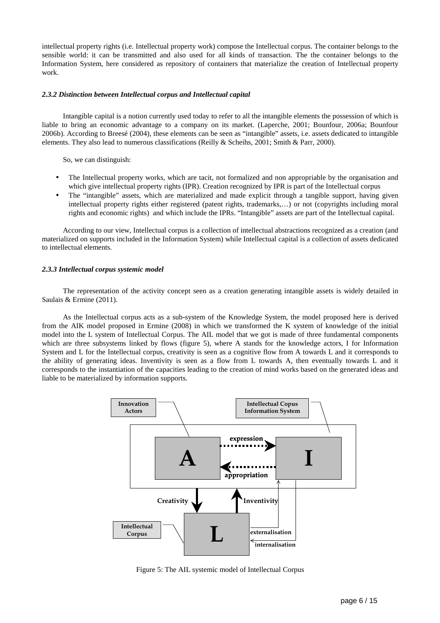intellectual property rights (i.e. Intellectual property work) compose the Intellectual corpus. The container belongs to the sensible world: it can be transmitted and also used for all kinds of transaction. The the container belongs to the Information System, here considered as repository of containers that materialize the creation of Intellectual property work.

#### *2.3.2 Distinction between Intellectual corpus and Intellectual capital*

Intangible capital is a notion currently used today to refer to all the intangible elements the possession of which is liable to bring an economic advantage to a company on its market. (Laperche, 2001; Bounfour, 2006a; Bounfour 2006b). According to Breesé (2004), these elements can be seen as "intangible" assets, i.e. assets dedicated to intangible elements. They also lead to numerous classifications (Reilly & Scheihs, 2001; Smith & Parr, 2000).

So, we can distinguish:

- The Intellectual property works, which are tacit, not formalized and non appropriable by the organisation and which give intellectual property rights (IPR). Creation recognized by IPR is part of the Intellectual corpus
- The "intangible" assets, which are materialized and made explicit through a tangible support, having given intellectual property rights either registered (patent rights, trademarks,…) or not (copyrights including moral rights and economic rights) and which include the IPRs. "Intangible" assets are part of the Intellectual capital.

According to our view, Intellectual corpus is a collection of intellectual abstractions recognized as a creation (and materialized on supports included in the Information System) while Intellectual capital is a collection of assets dedicated to intellectual elements.

## *2.3.3 Intellectual corpus systemic model*

The representation of the activity concept seen as a creation generating intangible assets is widely detailed in Saulais & Ermine (2011).

As the Intellectual corpus acts as a sub-system of the Knowledge System, the model proposed here is derived from the AIK model proposed in Ermine (2008) in which we transformed the K system of knowledge of the initial model into the L system of Intellectual Corpus. The AIL model that we got is made of three fundamental components which are three subsystems linked by flows (figure 5), where A stands for the knowledge actors, I for Information System and L for the Intellectual corpus, creativity is seen as a cognitive flow from A towards L and it corresponds to the ability of generating ideas. Inventivity is seen as a flow from L towards A, then eventually towards L and it corresponds to the instantiation of the capacities leading to the creation of mind works based on the generated ideas and liable to be materialized by information supports.



Figure 5: The AIL systemic model of Intellectual Corpus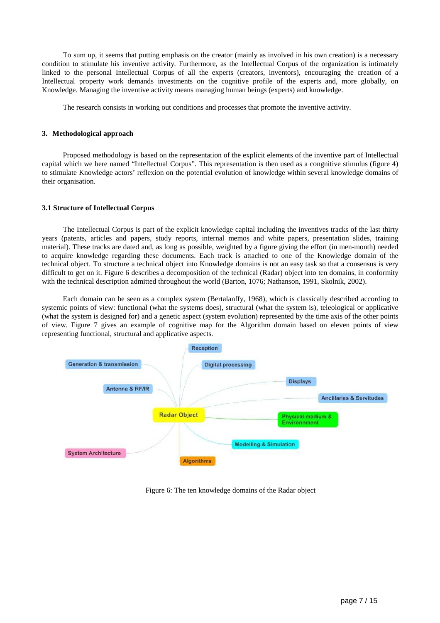To sum up, it seems that putting emphasis on the creator (mainly as involved in his own creation) is a necessary condition to stimulate his inventive activity*.* Furthermore, as the Intellectual Corpus of the organization is intimately linked to the personal Intellectual Corpus of all the experts (creators, inventors), encouraging the creation of a Intellectual property work demands investments on the cognitive profile of the experts and, more globally, on Knowledge. Managing the inventive activity means managing human beings (experts) and knowledge.

The research consists in working out conditions and processes that promote the inventive activity.

# **3. Methodological approach**

Proposed methodology is based on the representation of the explicit elements of the inventive part of Intellectual capital which we here named "Intellectual Corpus". This representation is then used as a congnitive stimulus (figure 4) to stimulate Knowledge actors' reflexion on the potential evolution of knowledge within several knowledge domains of their organisation.

#### **3.1 Structure of Intellectual Corpus**

The Intellectual Corpus is part of the explicit knowledge capital including the inventives tracks of the last thirty years (patents, articles and papers, study reports, internal memos and white papers, presentation slides, training material). These tracks are dated and, as long as possible, weighted by a figure giving the effort (in men-month) needed to acquire knowledge regarding these documents. Each track is attached to one of the Knowledge domain of the technical object. To structure a technical object into Knowledge domains is not an easy task so that a consensus is very difficult to get on it. Figure 6 describes a decomposition of the technical (Radar) object into ten domains, in conformity with the technical description admitted throughout the world (Barton, 1076; Nathanson, 1991, Skolnik, 2002).

Each domain can be seen as a complex system (Bertalanffy, 1968), which is classically described according to systemic points of view: functional (what the systems does), structural (what the system is), teleological or applicative (what the system is designed for) and a genetic aspect (system evolution) represented by the time axis of the other points of view. Figure 7 gives an example of cognitive map for the Algorithm domain based on eleven points of view representing functional, structural and applicative aspects.



Figure 6: The ten knowledge domains of the Radar object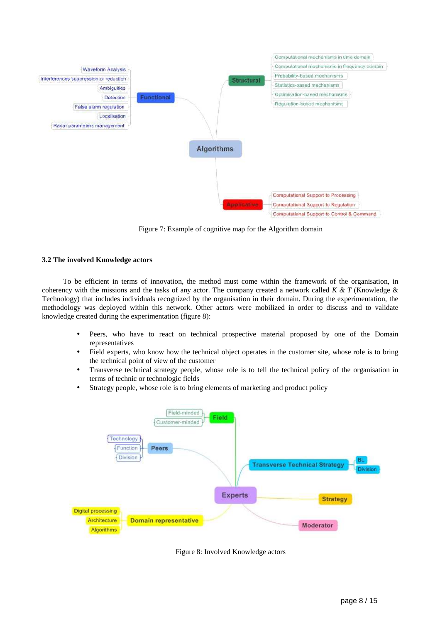

Figure 7: Example of cognitive map for the Algorithm domain

# **3.2 The involved Knowledge actors**

To be efficient in terms of innovation, the method must come within the framework of the organisation, in coherency with the missions and the tasks of any actor. The company created a network called *K & T* (Knowledge & Technology) that includes individuals recognized by the organisation in their domain. During the experimentation, the methodology was deployed within this network. Other actors were mobilized in order to discuss and to validate knowledge created during the experimentation (figure 8):

- Peers, who have to react on technical prospective material proposed by one of the Domain representatives
- Field experts, who know how the technical object operates in the customer site, whose role is to bring the technical point of view of the customer
- Transverse technical strategy people, whose role is to tell the technical policy of the organisation in terms of technic or technologic fields
- Strategy people, whose role is to bring elements of marketing and product policy



Figure 8: Involved Knowledge actors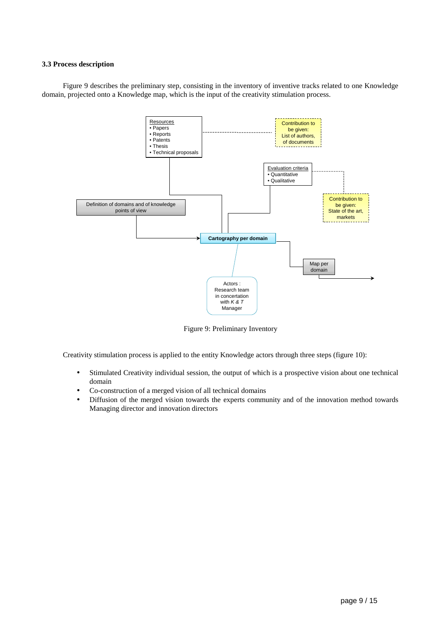# **3.3 Process description**

Figure 9 describes the preliminary step, consisting in the inventory of inventive tracks related to one Knowledge domain, projected onto a Knowledge map, which is the input of the creativity stimulation process.



Figure 9: Preliminary Inventory

Creativity stimulation process is applied to the entity Knowledge actors through three steps (figure 10):

- Stimulated Creativity individual session, the output of which is a prospective vision about one technical domain
- Co-construction of a merged vision of all technical domains
- Diffusion of the merged vision towards the experts community and of the innovation method towards Managing director and innovation directors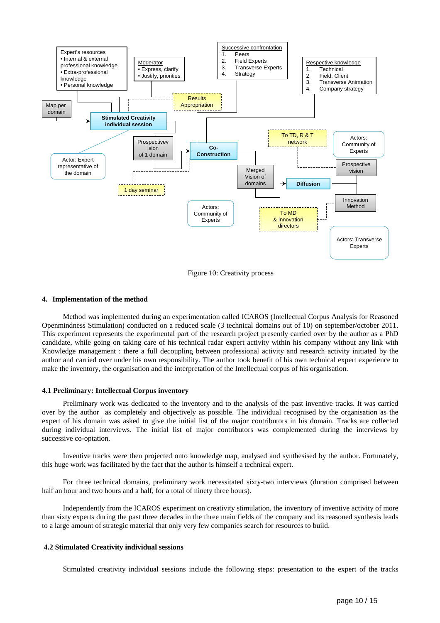

Figure 10: Creativity process

#### **4. Implementation of the method**

Method was implemented during an experimentation called ICAROS (Intellectual Corpus Analysis for Reasoned Openmindness Stimulation) conducted on a reduced scale (3 technical domains out of 10) on september/october 2011. This experiment represents the experimental part of the research project presently carried over by the author as a PhD candidate, while going on taking care of his technical radar expert activity within his company without any link with Knowledge management : there a full decoupling between professional activity and research activity initiated by the author and carried over under his own responsibility. The author took benefit of his own technical expert experience to make the inventory, the organisation and the interpretation of the Intellectual corpus of his organisation.

#### **4.1 Preliminary: Intellectual Corpus inventory**

Preliminary work was dedicated to the inventory and to the analysis of the past inventive tracks. It was carried over by the author as completely and objectively as possible. The individual recognised by the organisation as the expert of his domain was asked to give the initial list of the major contributors in his domain. Tracks are collected during individual interviews. The initial list of major contributors was complemented during the interviews by successive co-optation.

Inventive tracks were then projected onto knowledge map, analysed and synthesised by the author. Fortunately, this huge work was facilitated by the fact that the author is himself a technical expert.

For three technical domains, preliminary work necessitated sixty-two interviews (duration comprised between half an hour and two hours and a half, for a total of ninety three hours).

Independently from the ICAROS experiment on creativity stimulation, the inventory of inventive activity of more than sixty experts during the past three decades in the three main fields of the company and its reasoned synthesis leads to a large amount of strategic material that only very few companies search for resources to build.

#### **4.2 Stimulated Creativity individual sessions**

Stimulated creativity individual sessions include the following steps: presentation to the expert of the tracks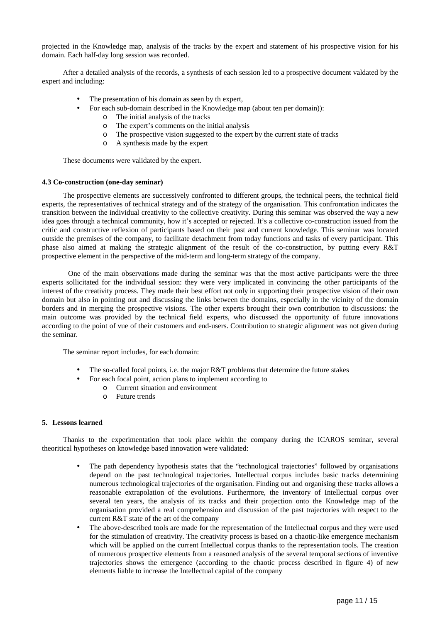projected in the Knowledge map, analysis of the tracks by the expert and statement of his prospective vision for his domain. Each half-day long session was recorded.

After a detailed analysis of the records, a synthesis of each session led to a prospective document valdated by the expert and including:

- The presentation of his domain as seen by th expert,
- For each sub-domain described in the Knowledge map (about ten per domain)):
	- o The initial analysis of the tracks
	- o The expert's comments on the initial analysis
	- o The prospective vision suggested to the expert by the current state of tracks
	- o A synthesis made by the expert

These documents were validated by the expert.

# **4.3 Co-construction (one-day seminar)**

The prospective elements are successively confronted to different groups, the technical peers, the technical field experts, the representatives of technical strategy and of the strategy of the organisation. This confrontation indicates the transition between the individual creativity to the collective creativity. During this seminar was observed the way a new idea goes through a technical community, how it's accepted or rejected. It's a collective co-construction issued from the critic and constructive reflexion of participants based on their past and current knowledge. This seminar was located outside the premises of the company, to facilitate detachment from today functions and tasks of every participant. This phase also aimed at making the strategic alignment of the result of the co-construction, by putting every R&T prospective element in the perspective of the mid-term and long-term strategy of the company.

One of the main observations made during the seminar was that the most active participants were the three experts sollicitated for the individual session: they were very implicated in convincing the other participants of the interest of the creativity process. They made their best effort not only in supporting their prospective vision of their own domain but also in pointing out and discussing the links between the domains, especially in the vicinity of the domain borders and in merging the prospective visions. The other experts brought their own contribution to discussions: the main outcome was provided by the technical field experts, who discussed the opportunity of future innovations according to the point of vue of their customers and end-users. Contribution to strategic alignment was not given during the seminar.

The seminar report includes, for each domain:

- The so-called focal points, i.e. the major R&T problems that determine the future stakes
- For each focal point, action plans to implement according to
	- o Current situation and environment
	- o Future trends

# **5. Lessons learned**

Thanks to the experimentation that took place within the company during the ICAROS seminar, several theoritical hypotheses on knowledge based innovation were validated:

- The path dependency hypothesis states that the "technological trajectories" followed by organisations depend on the past technological trajectories. Intellectual corpus includes basic tracks determining numerous technological trajectories of the organisation. Finding out and organising these tracks allows a reasonable extrapolation of the evolutions. Furthermore, the inventory of Intellectual corpus over several ten years, the analysis of its tracks and their projection onto the Knowledge map of the organisation provided a real comprehension and discussion of the past trajectories with respect to the current R&T state of the art of the company
- The above-described tools are made for the representation of the Intellectual corpus and they were used for the stimulation of creativity. The creativity process is based on a chaotic-like emergence mechanism which will be applied on the current Intellectual corpus thanks to the representation tools. The creation of numerous prospective elements from a reasoned analysis of the several temporal sections of inventive trajectories shows the emergence (according to the chaotic process described in figure 4) of new elements liable to increase the Intellectual capital of the company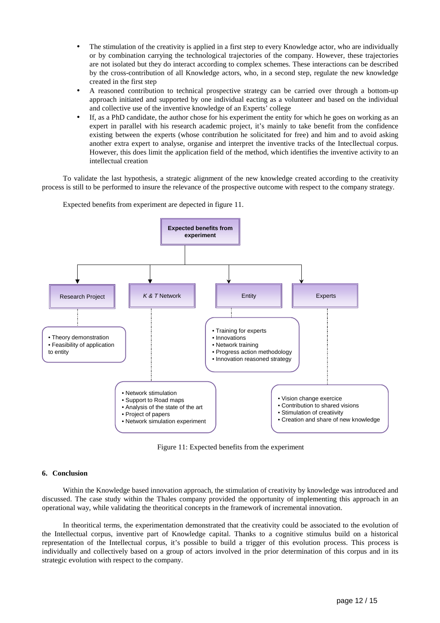- The stimulation of the creativity is applied in a first step to every Knowledge actor, who are individually or by combination carrying the technological trajectories of the company. However, these trajectories are not isolated but they do interact according to complex schemes. These interactions can be described by the cross-contribution of all Knowledge actors, who, in a second step, regulate the new knowledge created in the first step
- A reasoned contribution to technical prospective strategy can be carried over through a bottom-up approach initiated and supported by one individual eacting as a volunteer and based on the individual and collective use of the inventive knowledge of an Experts' college
- If, as a PhD candidate, the author chose for his experiment the entity for which he goes on working as an expert in parallel with his research academic project, it's mainly to take benefit from the confidence existing between the experts (whose contribution he solicitated for free) and him and to avoid asking another extra expert to analyse, organise and interpret the inventive tracks of the Intecllectual corpus. However, this does limit the application field of the method, which identifies the inventive activity to an intellectual creation

To validate the last hypothesis, a strategic alignment of the new knowledge created according to the creativity process is still to be performed to insure the relevance of the prospective outcome with respect to the company strategy.



Expected benefits from experiment are depected in figure 11.

Figure 11: Expected benefits from the experiment

## **6. Conclusion**

Within the Knowledge based innovation approach, the stimulation of creativity by knowledge was introduced and discussed. The case study within the Thales company provided the opportunity of implementing this approach in an operational way, while validating the theoritical concepts in the framework of incremental innovation.

In theoritical terms, the experimentation demonstrated that the creativity could be associated to the evolution of the Intellectual corpus, inventive part of Knowledge capital. Thanks to a cognitive stimulus build on a historical representation of the Intellectual corpus, it's possible to build a trigger of this evolution process. This process is individually and collectively based on a group of actors involved in the prior determination of this corpus and in its strategic evolution with respect to the company.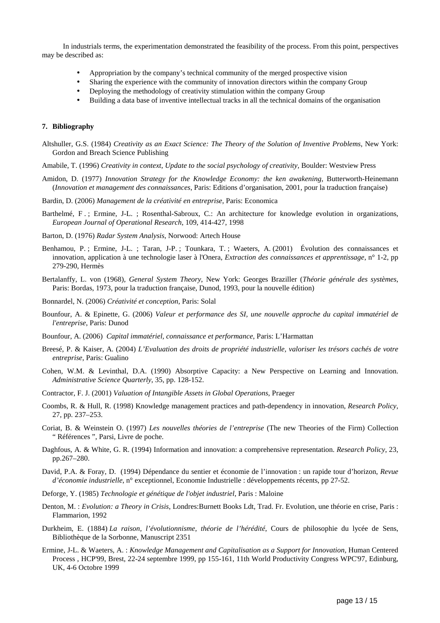In industrials terms, the experimentation demonstrated the feasibility of the process. From this point, perspectives may be described as:

- Appropriation by the company's technical community of the merged prospective vision
- Sharing the experience with the community of innovation directors within the company Group
- Deploying the methodology of creativity stimulation within the company Group
- Building a data base of inventive intellectual tracks in all the technical domains of the organisation

# **7. Bibliography**

- Altshuller, G.S. (1984) *Creativity as an Exact Science: The Theory of the Solution of Inventive Problems*, New York: Gordon and Breach Science Publishing
- Amabile, T. (1996) *Creativity in context*, *Update to the social psychology of creativity,* Boulder: Westview Press
- Amidon, D. (1977) *Innovation Strategy for the Knowledge Economy: the ken awakening*, Butterworth-Heinemann (*Innovation et management des connaissances*, Paris: Editions d'organisation, 2001, pour la traduction française)
- Bardin, D. (2006) *Management de la créativité en entreprise*, Paris: Economica
- Barthelmé, F .; Ermine, J-L. ; Rosenthal-Sabroux, C.: An architecture for knowledge evolution in organizations, *European Journal of Operational Research*, 109, 414-427, 1998
- Barton, D. (1976) *Radar System Analysis*, Norwood: Artech House
- Benhamou, P. ; Ermine, J-L. ; Taran, J-P. ; Tounkara, T. ; Waeters, A. (2001) Évolution des connaissances et innovation, application à une technologie laser à l'Onera, *Extraction des connaissances et apprentissage*, n° 1-2, pp 279-290, Hermès
- Bertalanffy, L. von (1968), *General System Theory*, New York: Georges Braziller (*Théorie générale des systèmes*, Paris: Bordas, 1973, pour la traduction française, Dunod, 1993, pour la nouvelle édition)
- Bonnardel, N. (2006) *Créativité et conception*, Paris: Solal
- Bounfour, A. & Epinette, G. (2006) *Valeur et performance des SI, une nouvelle approche du capital immatériel de l'entreprise*, Paris: Dunod
- Bounfour, A. (2006) *Capital immatériel, connaissance et performance*, Paris: L'Harmattan
- Breesé, P. & Kaiser, A. (2004) *L'Evaluation des droits de propriété industrielle, valoriser les trésors cachés de votre entreprise*, Paris: Gualino
- Cohen, W.M. & Levinthal, D.A. (1990) Absorptive Capacity: a New Perspective on Learning and Innovation. *Administrative Science Quarterly*, 35, pp. 128-152.
- Contractor, F. J. (2001) *Valuation of Intangible Assets in Global Operations*, Praeger
- Coombs, R. & Hull, R. (1998) Knowledge management practices and path-dependency in innovation, *Research Policy*, 27, pp. 237–253.
- Coriat, B. & Weinstein O. (1997) *Les nouvelles théories de l'entreprise* (The new Theories of the Firm) Collection " Références ", Parsi, Livre de poche.
- Daghfous, A. & White, G. R. (1994) Information and innovation: a comprehensive representation. *Research Policy*, 23, pp.267–280.
- David, P.A. & Foray, D. (1994) Dépendance du sentier et économie de l'innovation : un rapide tour d'horizon, *Revue d'économie industrielle*, n° exceptionnel, Economie Industrielle : développements récents, pp 27-52.
- Deforge, Y. (1985) *Technologie et génétique de l'objet industriel*, Paris : Maloine
- Denton, M. : *Evolution: a Theory in Crisis*, Londres:Burnett Books Ldt, Trad. Fr. Evolution, une théorie en crise, Paris : Flammarion, 1992
- Durkheim, E. (1884) *La raison, l'évolutionnisme, théorie de l'hérédité*, Cours de philosophie du lycée de Sens, Bibliothèque de la Sorbonne, Manuscript 2351
- Ermine, J-L. & Waeters, A. : *Knowledge Management and Capitalisation as a Support for Innovation,* Human Centered Process , HCP'99, Brest, 22-24 septembre 1999, pp 155-161, 11th World Productivity Congress WPC'97, Edinburg, UK, 4-6 Octobre 1999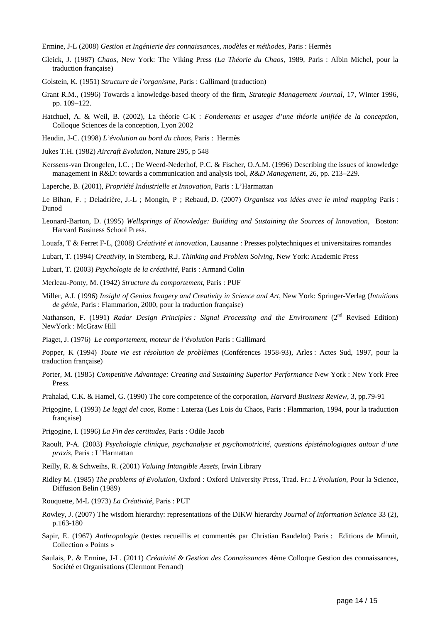Ermine, J-L (2008) *Gestion et Ingénierie des connaissances, modèles et méthodes*, Paris : Hermès

- Gleick, J. (1987) *Chaos*, New York: The Viking Press (*La Théorie du Chaos*, 1989, Paris : Albin Michel, pour la traduction française)
- Golstein, K. (1951) *Structure de l'organisme,* Paris : Gallimard (traduction)
- Grant R.M., (1996) Towards a knowledge-based theory of the firm, *Strategic Management Journal*, 17, Winter 1996, pp. 109–122.
- Hatchuel, A. & Weil, B. (2002), La théorie C-K : *Fondements et usages d'une théorie unifiée de la conception*, Colloque Sciences de la conception, Lyon 2002
- Heudin, J-C. (1998) *L'évolution au bord du chaos,* Paris : Hermès
- Jukes T.H. (1982) *Aircraft Evolution*, Nature 295, p 548
- Kerssens-van Drongelen, I.C. ; De Weerd-Nederhof, P.C. & Fischer, O.A.M. (1996) Describing the issues of knowledge management in R&D: towards a communication and analysis tool, *R&D Management*, 26, pp. 213–229.
- Laperche, B. (2001), *Propriété Industrielle et Innovation*, Paris : L'Harmattan

Le Bihan, F. ; Deladrière, J.-L ; Mongin, P ; Rebaud, D. (2007) *Organisez vos idées avec le mind mapping* Paris : Dunod

- Leonard-Barton, D. (1995) *Wellsprings of Knowledge: Building and Sustaining the Sources of Innovation*, Boston: Harvard Business School Press.
- Louafa, T & Ferret F-L, (2008) *Créativité et innovation*, Lausanne : Presses polytechniques et universitaires romandes
- Lubart, T. (1994) *Creativity*, in Sternberg, R.J. *Thinking and Problem Solving*, New York: Academic Press
- Lubart, T. (2003) *Psychologie de la créativité*, Paris : Armand Colin

Merleau-Ponty, M. (1942) *Structure du comportement,* Paris : PUF

Miller, A.I. (1996) *Insight of Genius Imagery and Creativity in Science and Art*, New York: Springer-Verlag (*Intuitions de génie*, Paris : Flammarion, 2000, pour la traduction française)

Nathanson, F. (1991) *Radar Design Principles : Signal Processing and the Environment* (2<sup>nd</sup> Revised Edition) NewYork : McGraw Hill

Piaget, J. (1976) *Le comportement, moteur de l'évolution* Paris : Gallimard

Popper, K (1994) *Toute vie est résolution de problèmes* (Conférences 1958-93), Arles : Actes Sud, 1997, pour la traduction française)

- Porter, M. (1985) *Competitive Advantage: Creating and Sustaining Superior Performance* New York : New York Free Press.
- Prahalad, C.K. & Hamel, G. (1990) The core competence of the corporation, *Harvard Business Review*, 3, pp.79-91
- Prigogine, I. (1993) *Le leggi del caos*, Rome : Laterza (Les Lois du Chaos, Paris : Flammarion, 1994, pour la traduction française)
- Prigogine, I. (1996) *La Fin des certitudes*, Paris : Odile Jacob
- Raoult, P-A. (2003) *Psychologie clinique, psychanalyse et psychomotricité, questions épistémologiques autour d'une praxis*, Paris : L'Harmattan
- Reilly, R. & Schweihs, R. (2001) *Valuing Intangible Assets*, Irwin Library
- Ridley M. (1985) *The problems of Evolution,* Oxford : Oxford University Press, Trad. Fr.: *L'évolution*, Pour la Science, Diffusion Belin (1989)
- Rouquette, M-L (1973) *La Créativité*, Paris : PUF
- Rowley, J. (2007) The wisdom hierarchy: representations of the DIKW hierarchy *Journal of Information Science* 33 (2), p.163-180
- Sapir, E. (1967) *Anthropologie* (textes recueillis et commentés par Christian Baudelot) Paris : Editions de Minuit, Collection « Points »
- Saulais, P. & Ermine, J-L. (2011) *Créativité & Gestion des Connaissances* 4ème Colloque Gestion des connaissances, Société et Organisations (Clermont Ferrand)